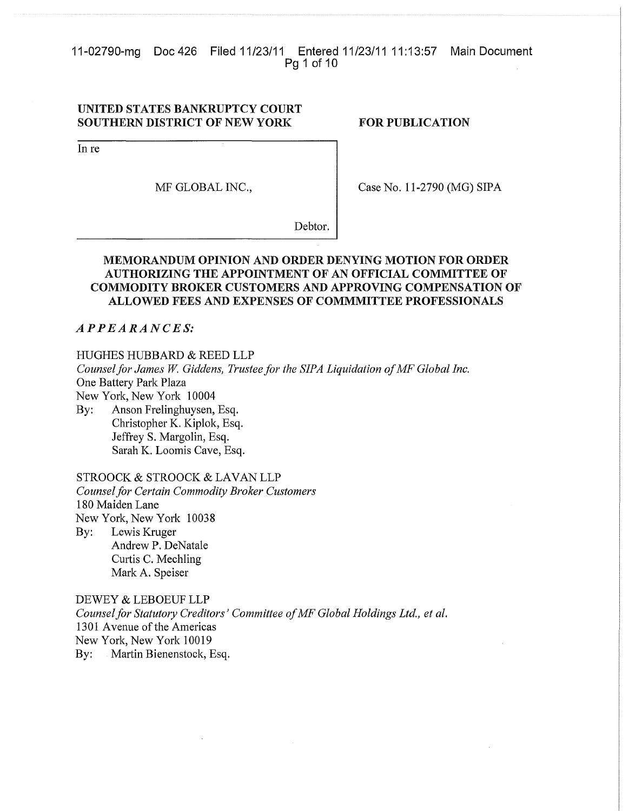11-02790-mg Doc 426 Filed 11/23/11 Entered 11/23/11 11:13:57 Main Document Pg 1 of 10

# UNITED STATES BANKRUPTCY COURT SOUTHERN DISTRICT OF NEW YORK

### FOR PUBLICATION

In re

MF GLOBAL INC.,

Case No. 11-2790 (MG) SIPA

Debtor.

# MEMORANDUM OPINION AND ORDER DENYING MOTION FOR ORDER AUTHORIZING THE APPOINTMENT OF AN OFFICIAL COMMITTEE OF COMMODITY BROKER CUSTOMERS AND APPROVING COMPENSATION OF ALLOWED FEES AND EXPENSES OF COMMMITTEE PROFESSIONALS

# $APPEARANCE S$

### HUGHES HUBBARD & REED LLP

*Counselfor James W. Giddens, Trustee for the SIPA Liquidation ofMF Global Inc.* One Battery Park Plaza New York, New York 10004

By: Anson Frelinghuysen, Esq. Christopher K. Kiplok, Esq. Jeffrey S. Margolin, Esq. Sarah K. Loomis Cave, Esq.

# STROOCK & STROOCK & LAVAN LLP

*Counselfor Certain Commodity Broker Customers* 180 Maiden Lane New York, New York 10038

By: Lewis Kruger Andrew P. DeNatale Curtis C. Mechling Mark A. Speiser

DEWEY & LEBOEUF LLP *Counselfor Statutory Creditors' Committee ofMF Global Holdings Ltd., et al.* 1301 Avenue of the Americas New York, New York 10019 By: Martin Bienenstock, Esq.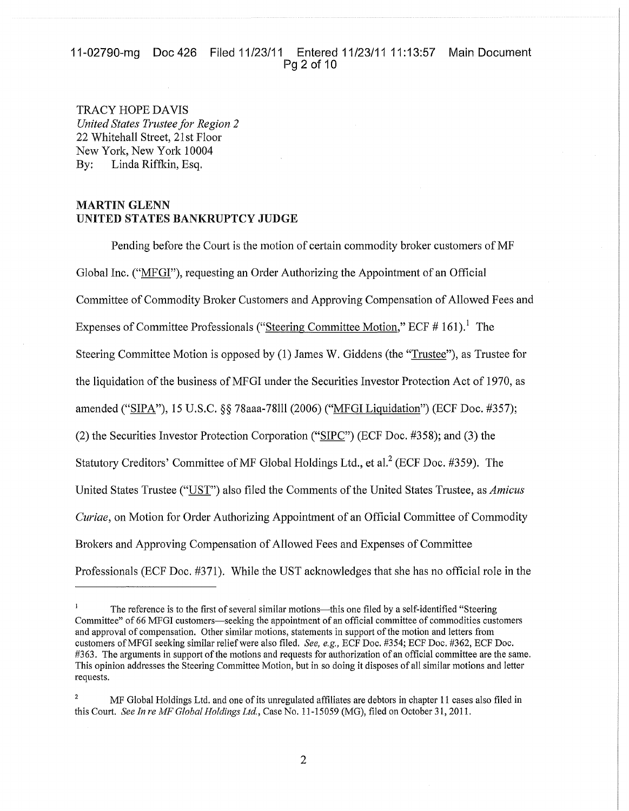# 11-02790-mg Doc 426 Filed 11/23/11 Entered 11/23/11 11:13:57 Main Document Pg 2 of 10

TRACY HOPE DAVIS *United States Trustee for Region 2* 22 Whitehall Street, 21st Floor New York, New York 10004 By: Linda Riffkin, Esq.

# MARTIN GLENN UNITED STATES BANKRUPTCY JUDGE

Pending before the Court is the motion of certain commodity broker customers of MF Global Inc. ("MFGI"), requesting an Order Authorizing the Appointment of an Official Committee of Commodity Broker Customers and Approving Compensation of Allowed Fees and Expenses of Committee Professionals ("Steering Committee Motion," ECF  $# 161$ ).<sup>1</sup> The Steering Committee Motion is opposed by (1) James W. Giddens (the "Trustee"), as Trustee for the liquidation of the business of MFGI under the Securities Investor Protection Act of 1970, as amended ("SIPA"), 15 U.S.C. §§ 78aaa-78111 (2006) ("MFGI Liquidation") (ECF Doc. #357); (2) the Securities Investor Protection Corporation ("SIPC") (ECF Doc. #358); and (3) the Statutory Creditors' Committee of MF Global Holdings Ltd., et al.<sup>2</sup> (ECF Doc. #359). The United States Trustee ("UST") also filed the Comments ofthe United States Trustee, as *Amicus Curiae,* on Motion for Order Authorizing Appointment of an Official Committee of Commodity Brokers and Approving Compensation of Allowed Fees and Expenses of Committee Professionals (ECF Doc. #371). While the UST acknowledges that she has no official role in the

 $\mathbf{I}$ The reference is to the first of several similar motions—this one filed by a self-identified "Steering Committee" of 66 MFGI customers-seeking the appointment of an official committee of commodities customers and approval of compensation. Other similar motions, statements in support ofthe motion and letters from customers ofMFGI seeking similar relief were also filed. *See, e.g.,* ECF Doc. #354; ECF Doc. #362, ECF Doc. #363. The arguments in support of the motions and requests for authorization of an official committee are the same. This opinion addresses the Steering Committee Motion, but in so doing it disposes of all similar motions and letter requests.

<sup>2</sup> MF Global Holdings Ltd. and one ofits unregulated affiliates are debtors in chapter 11 cases also filed in this Court. *See In re MF Global Holdings Ltd,* Case No. 11-15059 (MG), filed on October 31, 2011.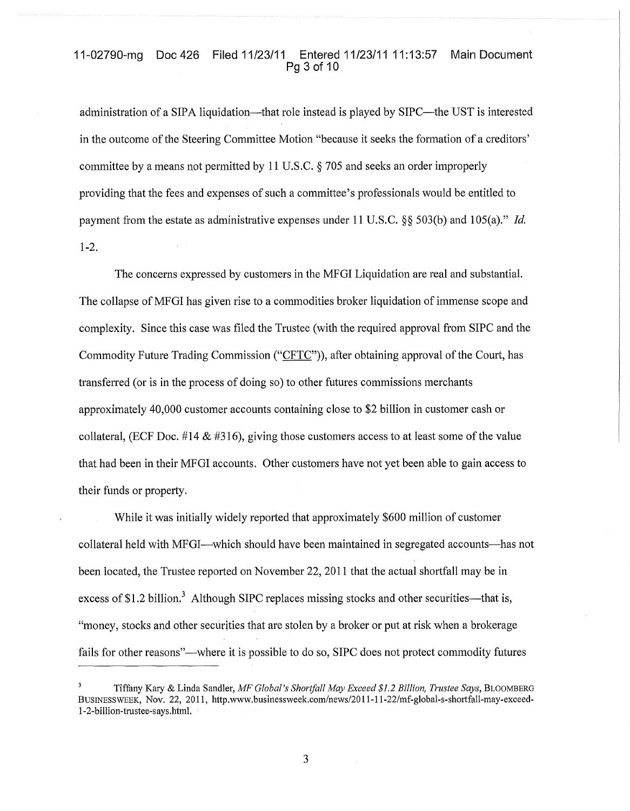### 11-02790-mg Doc 426 Filed 11/23/11 Entered 11/23/11 11:13:57 Main Document Pg 3 of 10

administration of a SIPA liquidation---that role instead is played by SIPC---the UST is interested in the outcome of the Steering Committee Motion "because it seeks the formation of a creditors' committee by a means not permitted by 11 U.S.C. § 705 and seeks an order improperly providing that the fees and expenses of such a committee's professionals would be entitled to payment from the estate as administrative expenses under 11 U.S.C. §§ 503(b) and 105(a)." *Id.* 1-2.

The concerns expressed by customers in the MFGI Liquidation are real and substantial. The collapse of MFGI has given rise to a commodities broker liquidation of immense scope and complexity. Since this case was filed the Trustee (with the required approval from SIPC and the Commodity Future Trading Commission ("CFTC")), after obtaining approval of the Court, has transferred (or is in the process of doing so) to other futures commissions merchants approximately 40,000 customer accounts containing close to \$2 billion in customer cash or collateral, (ECF Doc. #14  $\&$  #316), giving those customers access to at least some of the value that had been in their MFGI accounts. Other customers have not yet been able to gain access to their funds or property.

While it was initially widely reported that approximately \$600 million of customer collateral held with MFGI--which should have been maintained in segregated accounts-has not been located, the Trustee reported on November 22,2011 that the actual shortfall may be in excess of \$1.2 billion.<sup>3</sup> Although SIPC replaces missing stocks and other securities—that is, "money, stocks and other securities that are stolen by a broker or put at risk when a brokerage fails for other reasons"—where it is possible to do so, SIPC does not protect commodity futures

Tiffany Kary & Linda Sandler, *MF Global's Shortfall May Exceed* \$1.2 *Billion, Trustee Says,* BLOOMBERG BUSINESSWEEK, Nov. 22, 2011, http.www.businessweek.com/news/2011-11-22/mf-global-s-shortfall-may-exceed-1-2-billion-trustee-says.html.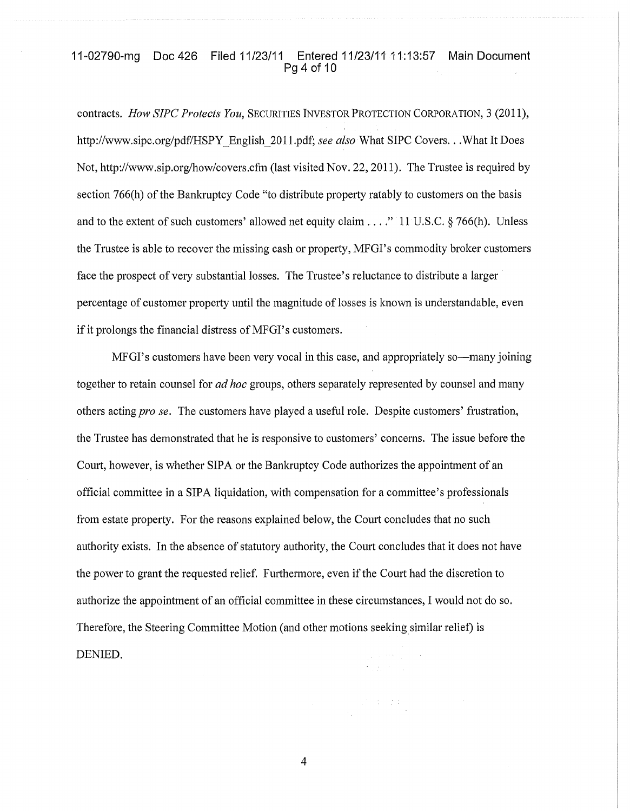### 11-02790-mg Doc 426 Filed 11/23/11 Entered 11/23/11 11:13:57 Main Document Pg 4 of 10

contracts. *How SIPC Protects You,* SECURITIES INVESTOR PROTECTION CORPORATION, 3 (2011), http://www.sipc.org/pdffHSPY\_English\_2011.pdf; *see also* What SIPC Covers...What It Does Not, http://www.sip.org/how/covers.cfm (last visited Nov. 22, 2011). The Trustee is required by section  $766(h)$  of the Bankruptcy Code "to distribute property ratably to customers on the basis and to the extent of such customers' allowed net equity claim  $\dots$ ." 11 U.S.C. § 766(h). Unless the Trustee is able to recover the missing cash or property, MFGI's commodity broker customers face the prospect of very substantial losses. The Trustee's reluctance to distribute a larger percentage of customer property until the magnitude of losses is known is understandable, even if it prolongs the financial distress of MFGI's customers.

MFGI's customers have been very vocal in this case, and appropriately so-many joining together to retain counsel for *ad hoc* groups, others separately represented by counsel and many others acting *pro se.* The customers have played a useful role. Despite customers' frustration, the Trustee has demonstrated that he is responsive to customers' concerns. The issue before the Court, however, is whether SIPA or the Bankruptcy Code authorizes the appointment of an official committee in a SIPA liquidation, with compensation for a committee's professionals from estate property. For the reasons explained below, the Court concludes that no such authority exists. In the absence of statutory authority, the Court concludes that it does not have the power to grant the requested relief. Furthermore, even ifthe Court had the discretion to authorize the appointment of an official committee in these circumstances, I would not do so. Therefore, the Steering Committee Motion (and other motions seekingsimilar relief) is DENIED.

4

 $\mathcal{A}^{\mathcal{A}}=\mathcal{I}^{\mathcal{A}}\subset\mathcal{I}^{\mathcal{A}}$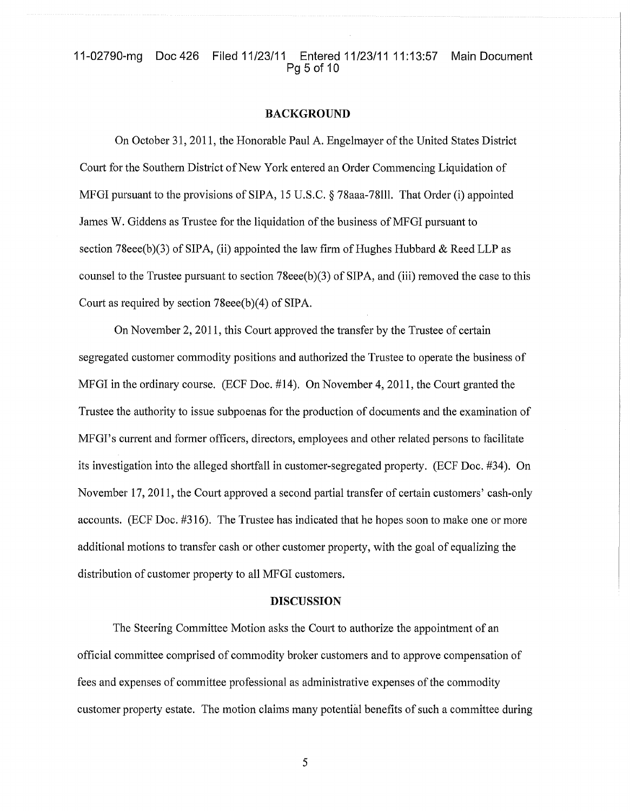# 11-02790-mg Doc 426 Filed 11/23/11 Entered 11/23/11 11:13:57 Main Document Pg 5 of 10

#### BACKGROUND

On October 31, 2011, the Honorable Paul A. Engelmayer ofthe United States District Court for the Southern District of New York entered an Order Commencing Liquidation of MFGI pursuant to the provisions of SIPA, 15 U.S.C. § 78aaa-78lll. That Order (i) appointed James W. Giddens as Trustee for the liquidation of the business of MFGI pursuant to section 78eee(b)(3) of SIPA, (ii) appointed the law firm of Hughes Hubbard & Reed LLP as counsel to the Trustee pursuant to section 78eee(b)(3) of SIPA, and (iii) removed the case to this Court as required by section 78eee(b)(4) of SIPA.

On November 2,2011, this Court approved the transfer by the Trustee of certain segregated customer commodity positions and authorized the Trustee to operate the business of MFGI in the ordinary course. (ECF Doc. #14). On November 4,2011, the Court granted the Trustee the authority to issue subpoenas for the production of documents and the examination of MFGI's current and former officers, directors, employees and other related persons to facilitate its investigation into the alleged shortfall in customer-segregated property. (ECF Doc. #34). On November 17,2011, the Court approved a second partial transfer of certain customers' cash-only accounts. (ECF Doc. #316). The Trustee has indicated that he hopes soon to make one or more additional motions to transfer cash or other customer property, with the goal of equalizing the distribution of customer property to all MFGI customers.

### DISCUSSION

The Steering Committee Motion asks the Court to authorize the appointment of an official committee comprised of commodity broker customers and to approve compensation of fees and expenses of committee professional as administrative expenses of the commodity customer property estate. The motion claims many potential benefits of such a committee during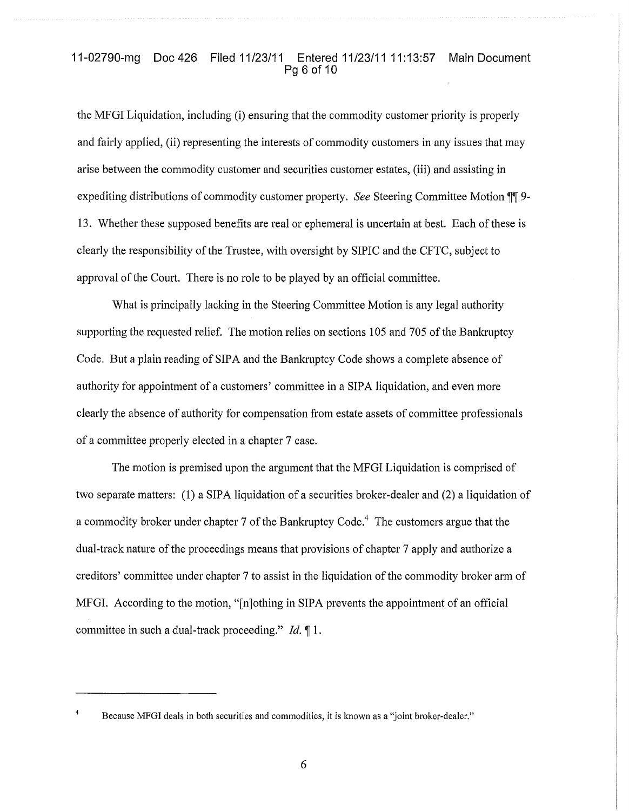### 11-02790-mg Doc 426 Filed 11/23/11 Entered 11/23/11 11:13:57 Main Document Pg 6 of 10

the MFGI Liquidation, including (i) ensuring that the commodity customer priority is properly and fairly applied, (ii) representing the interests of commodity customers in any issues that may arise between the commodity customer and securities customer estates, (iii) and assisting in expediting distributions of commodity customer property. *See* Steering Committee Motion TI 9-13. Whether these supposed benefits are real or ephemeral is uncertain at best. Each of these is clearly the responsibility of the Trustee, with oversight by SIPIC and the CFTC, subject to approval of the Court. There is no role to be played by an official committee.

What is principally lacking in the Steering Committee Motion is any legal authority supporting the requested relief. The motion relies on sections 105 and 705 of the Bankruptcy Code. But a plain reading of SIPA and the Bankruptcy Code shows a complete absence of authority for appointment of a customers' committee in a SIPA liquidation, and even more clearly the absence of authority for compensation from estate assets of committee professionals of a committee properly elected in a chapter 7 case.

The motion is premised upon the argument that the MFGI Liquidation is comprised of two separate matters: (1) a SIPA liquidation of a securities broker-dealer and (2) a liquidation of a commodity broker under chapter 7 of the Bankruptcy Code.<sup>4</sup> The customers argue that the dual-track nature of the proceedings means that provisions of chapter 7 apply and authorize a creditors' committee under chapter 7 to assist in the liquidation ofthe commodity broker arm of MFG!. According to the motion, "[n]othing in SIPA prevents the appointment of an official committee in such a dual-track proceeding." *Id.* 1.

 $\overline{4}$ Because MFGI deals in both securities and commodities, it is known as a "joint broker-dealer."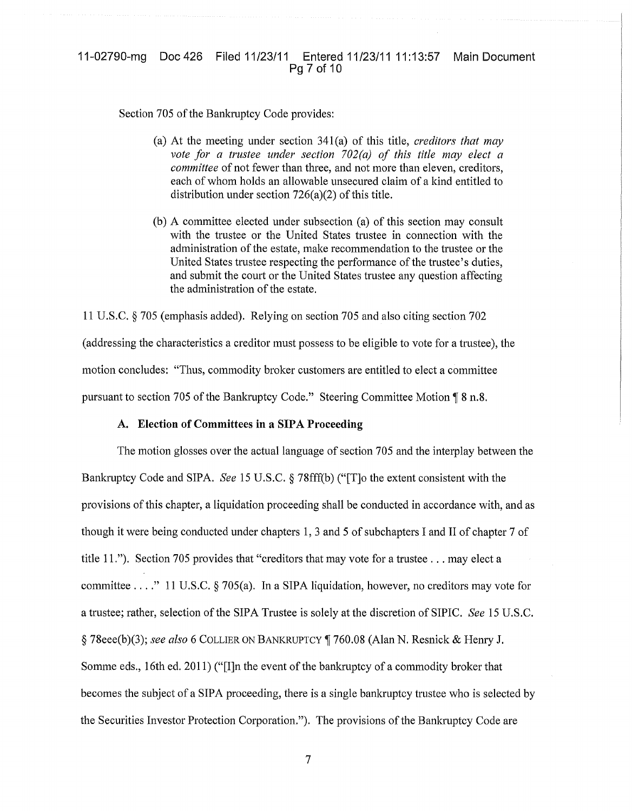### 11-02790-mg Doc 426 Filed 11/23/11 Entered 11/23/11 11:13:57 Main Document Pg 7 of 10

Section 705 of the Bankruptcy Code provides:

- (a) At the meeting under section 341(a) of this title, *creditors that may vote for a trustee under section 702(a) of this title may elect a committee* of not fewer than three, and not more than eleven, creditors, each of whom holds an allowable unsecured claim of a kind entitled to distribution under section  $726(a)(2)$  of this title.
- (b) A committee elected under subsection (a) of this section may consult with the trustee or the United States trustee in connection with the administration of the estate, make recommendation to the trustee or the United States trustee respecting the performance of the trustee's duties. and submit the court or the United States trustee any question affecting the administration of the estate.

11 U.S.C. § 705 (emphasis added). Relying on section 705 and also citing section 702 (addressing the characteristics a creditor must possess to be eligible to vote for a trustee), the motion concludes: "Thus, commodity broker customers are entitled to elect a committee pursuant to section 705 of the Bankruptcy Code." Steering Committee Motion  $\sqrt{8}$  n.8.

#### A. Election of Committees **in** a SIPA Proceeding

The motion glosses over the actual language of section 705 and the interplay between the Bankruptcy Code and SIPA. *See* 15 U.S.C. § 78fff(b) ("[T]o the extent consistent with the provisions ofthis chapter, a liquidation proceeding shall be conducted in accordance with, and as though it were being conducted under chapters 1, 3 and 5 of subchapters I and II of chapter 7 of title 11."). Section <sup>705</sup> provides that "creditors that may vote for <sup>a</sup> trustee ... may elect <sup>a</sup> committee ...." <sup>11</sup> U.S.C. § 705(a). In <sup>a</sup> SIPA liquidation, however, no creditors may vote for a trustee; rather, selection of the SIPA Trustee is solely at the discretion of SIPIC. *See* 15 U.S.C. § 78eee(b)(3); *see also* 6 COLLIER ON BANKRUPTCY 760.08 (Alan N. Resnick & Henry J. Somme eds., 16th ed. 2011) ("[I]n the event of the bankruptcy of a commodity broker that becomes the subject of a SIPA proceeding, there is a single bankruptcy trustee who is selected by the Securities Investor Protection Corporation."). The provisions of the Bankruptcy Code are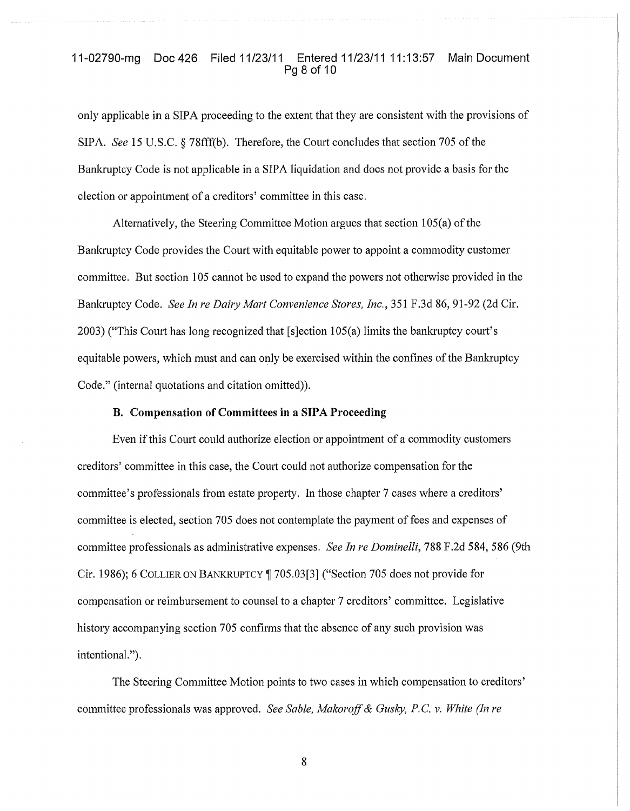# 11-02790-mg Doc 426 Filed 11/23/11 Entered 11/23/11 11:13:57 Main Document Pg 8 of 10

only applicable in a SIPA proceeding to the extent that they are consistent with the provisions of SIPA. *See* 15 U.S.C. § 78fff(b). Therefore, the Court concludes that section 705 of the Bankruptcy Code is not applicable in a SIPA liquidation and does not provide a basis for the election or appointment of a creditors' committee in this case.

Alternatively, the Steering Committee Motion argues that section 105(a) of the Bankruptcy Code provides the Court with equitable power to appoint a commodity customer committee. But section 105 cannot be used to expand the powers not otherwise provided in the Bankruptcy Code. *See In re Dairy Mart Convenience Stores, Inc.,* 351 F.3d 86, 91-92 (2d Cir. 2003) ("This Court has long recognized that [s]ection 105(a) limits the bankruptcy court's equitable powers, which must and can only be exercised within the confines ofthe Bankruptcy Code." (internal quotations and citation omitted)).

### B. Compensation of Committees in a SIPA Proceeding

Even ifthis Court could authorize election or appointment of a commodity customers creditors' committee in this case, the Court could not authorize compensation for the committee's professionals from estate property. In those chapter 7 cases where a creditors' committee is elected, section 705 does not contemplate the payment of fees and expenses of committee professionals as administrative expenses. *See In re Dominelli,* 788 F.2d 584,586 (9th Cir. 1986); 6 COLLIER ON BANKRUPTCY 705.03[3] ("Section 705 does not provide for compensation or reimbursement to counsel to a chapter 7 creditors' committee. Legislative history accompanying section 705 confirms that the absence of any such provision was intentionaL").

The Steering Committee Motion points to two cases in which compensation to creditors' committee professionals was approved. *See Sable, Makoroff*& *Gusky, P.* C. v. *White (In re*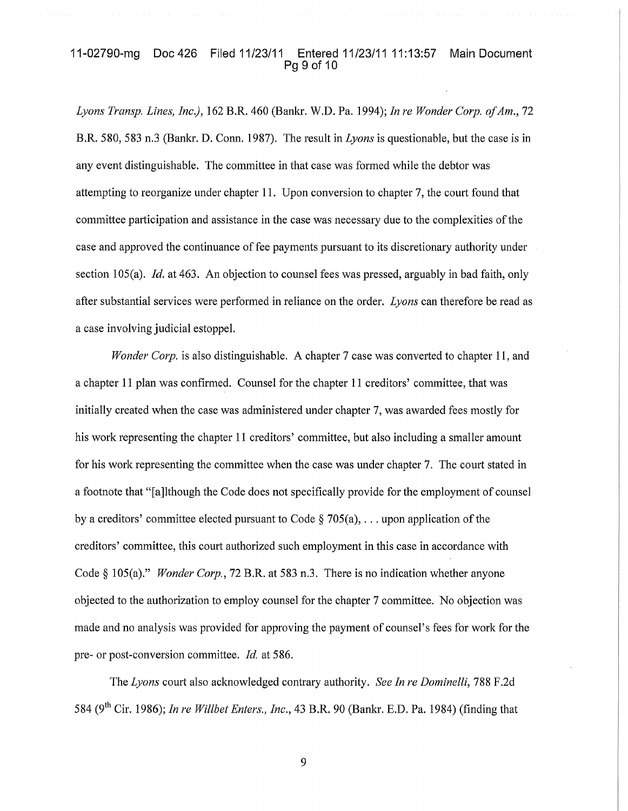# 11-02790-mg Doc 426 Filed 11/23/11 Entered 11/23/11 11:13:57 Main Document Pg 9 of 10

*Lyons Transp. Lines, Inc.),* 162 B.R. 460 (BanIa. W.D. Pa. 1994); *In re Wonder Corp. ofAm., 72* B.R. 580, 583 n.3 (Bankr. D. Conn. 1987). The result in *Lyons* is questionable, but the case is in any event distinguishable. The committee in that case was formed while the debtor was attempting to reorganize under chapter 11. Upon conversion to chapter 7, the court found that committee participation and assistance in the case was necessary due to the complexities of the case and approved the continuance of fee payments pursuant to its discretionary authority under section 105(a). *Id.* at 463. An objection to counsel fees was pressed, arguably in bad faith, only after substantial services were performed in reliance on the order. *Lyons* can therefore be read as a case involving judicial estoppel.

*Wonder Corp.* is also distinguishable. A chapter 7 case was converted to chapter 11, and a chapter 11 plan was confirmed. Counsel for the chapter 11 creditors' committee, that was initially created when the case was administered under chapter 7, was awarded fees mostly for his work representing the chapter 11 creditors' committee, but also including a smaller amount for his work representing the committee when the case was under chapter 7. The court stated in a footnote that "[a]lthough the Code does not specifically provide for the employment of counsel by a creditors' committee elected pursuant to Code  $\S 705(a)$ , ... upon application of the creditors' committee, this court authorized such employment in this case in accordance with Code § 105(a)." *Wonder Corp.*, 72 B.R. at 583 n.3. There is no indication whether anyone objected to the authorization to employ counsel for the chapter 7 committee. No objection was made and no analysis was provided for approving the payment of counsel's fees for work for the pre- or post-conversion committee. *Id.* at 586.

The *Lyons* court also acknowledged contrary authority. *See In re Dominelli,* 788 F.2d 584 (9th Cir. 1986); *In re Willbet Enters., Inc.,* 43 B.R. 90 (Banl<r. E.D. Pa. 1984) (finding that